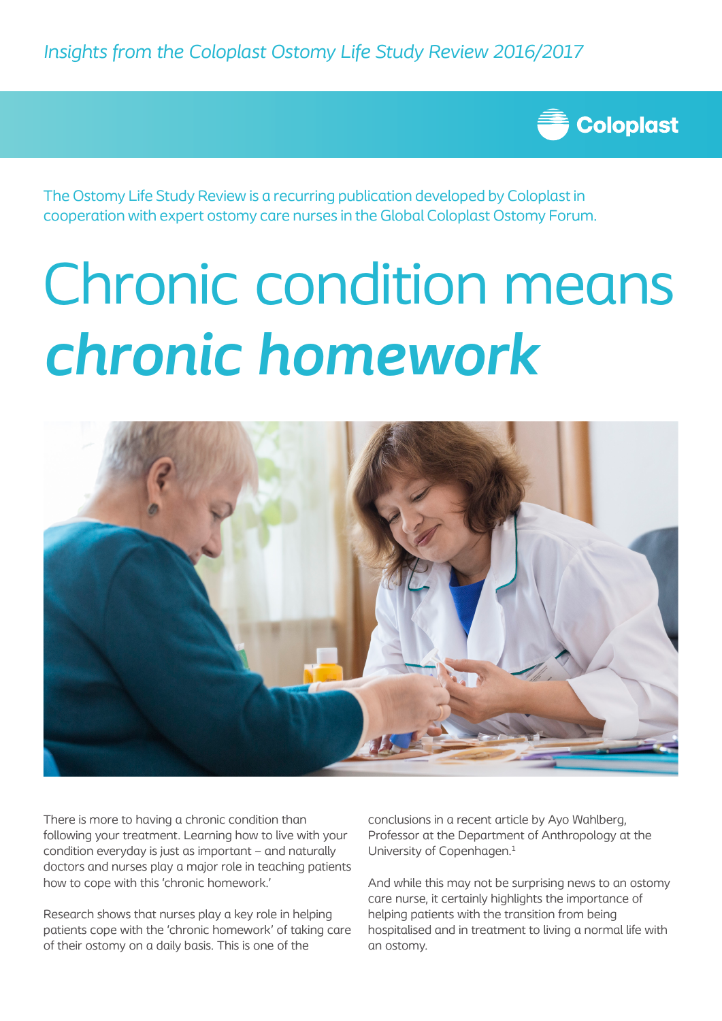*Insights from the Coloplast Ostomy Life Study Review 2016/2017*



The Ostomy Life Study Review is a recurring publication developed by Coloplast in cooperation with expert ostomy care nurses in the Global Coloplast Ostomy Forum.

# Chronic condition means *chronic homework*



There is more to having a chronic condition than following your treatment. Learning how to live with your condition everyday is just as important – and naturally doctors and nurses play a major role in teaching patients how to cope with this 'chronic homework.'

Research shows that nurses play a key role in helping patients cope with the 'chronic homework' of taking care of their ostomy on a daily basis. This is one of the

conclusions in a recent article by Ayo Wahlberg, Professor at the Department of Anthropology at the University of Copenhagen.<sup>1</sup>

And while this may not be surprising news to an ostomy care nurse, it certainly highlights the importance of helping patients with the transition from being hospitalised and in treatment to living a normal life with an ostomy.